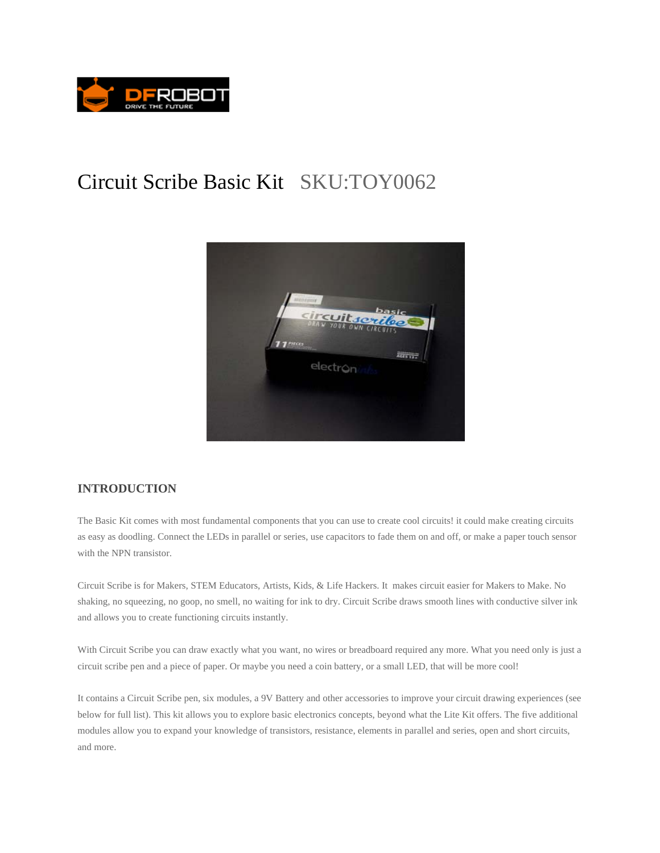

## Circuit Scribe Basic Kit SKU:TOY0062



## **INTRODUCTION**

The Basic Kit comes with most fundamental components that you can use to create cool circuits! it could make creating circuits as easy as doodling. Connect the LEDs in parallel or series, use capacitors to fade them on and off, or make a paper touch sensor with the NPN transistor.

Circuit Scribe is for Makers, STEM Educators, Artists, Kids, & Life Hackers. It makes circuit easier for Makers to Make. No shaking, no squeezing, no goop, no smell, no waiting for ink to dry. Circuit Scribe draws smooth lines with conductive silver ink and allows you to create functioning circuits instantly.

With Circuit Scribe you can draw exactly what you want, no wires or breadboard required any more. What you need only is just a circuit scribe pen and a piece of paper. Or maybe you need a coin battery, or a small LED, that will be more cool!

It contains a Circuit Scribe pen, six modules, a 9V Battery and other accessories to improve your circuit drawing experiences (see below for full list). This kit allows you to explore basic electronics concepts, beyond what the Lite Kit offers. The five additional modules allow you to expand your knowledge of transistors, resistance, elements in parallel and series, open and short circuits, and more.